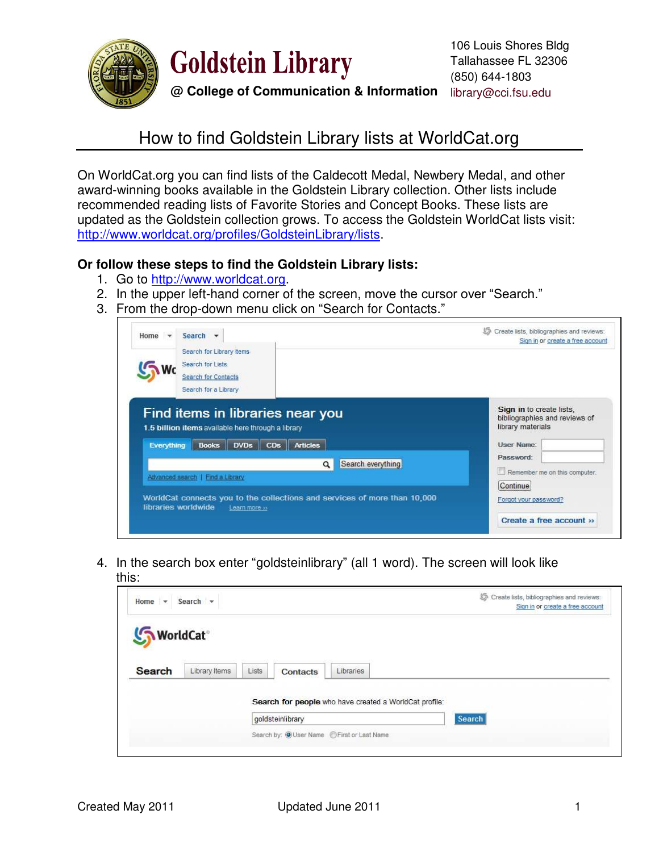

**Goldstein Library** 

**@ College of Communication & Information** library@cci.fsu.edu

## How to find Goldstein Library lists at WorldCat.org

On WorldCat.org you can find lists of the Caldecott Medal, Newbery Medal, and other award-winning books available in the Goldstein Library collection. Other lists include recommended reading lists of Favorite Stories and Concept Books. These lists are updated as the Goldstein collection grows. To access the Goldstein WorldCat lists visit: [http://www.worldcat.org/profiles/GoldsteinLibrary/lists.](http://www.worldcat.org/profiles/GoldsteinLibrary/lists)

## **Or follow these steps to find the Goldstein Library lists:**

- 1. Go to [http://www.worldcat.org.](http://www.worldcat.org/)
- 2. In the upper left-hand corner of the screen, move the cursor over "Search."
- 3. From the drop-down menu click on "Search for Contacts."

| Home $\rightarrow$<br>Search <b>v</b>                                                                                                                   | Create lists, bibliographies and reviews:<br>Sign in or create a free account                |
|---------------------------------------------------------------------------------------------------------------------------------------------------------|----------------------------------------------------------------------------------------------|
| Search for Library Items<br>Search for Lists<br><b>Search for Contacts</b><br>Search for a Library                                                      |                                                                                              |
| Find items in libraries near you<br>1.5 billion items available here through a library<br><b>Articles</b><br>Everything<br>$DVDs$ $CDs$<br><b>Books</b> | Sign in to create lists,<br>bibliographies and reviews of<br>library materials<br>User Name: |
| Search everything<br>$\alpha$<br>Advanced search   Find a Library<br>WorldCat connects you to the collections and services of more than 10,000          | Password:<br>Remember me on this computer.<br>Continue<br>Forgot your password?              |
| libraries worldwide<br>Learn more >>                                                                                                                    | Create a free account »                                                                      |

4. In the search box enter "goldsteinlibrary" (all 1 word). The screen will look like this:

| Home v Search v         |                                                        | Create lists, bibliographies and reviews:<br>坯<br>Sign in or create a free account |
|-------------------------|--------------------------------------------------------|------------------------------------------------------------------------------------|
| WorldCat <sup>®</sup>   |                                                        |                                                                                    |
| Search<br>Library Items | <b>Lists</b><br>Libraries<br><b>Contacts</b>           |                                                                                    |
|                         | Search for people who have created a WorldCat profile: |                                                                                    |
|                         | goldsteinlibrary                                       | Search                                                                             |
|                         | Search by: O User Name  Search by:                     |                                                                                    |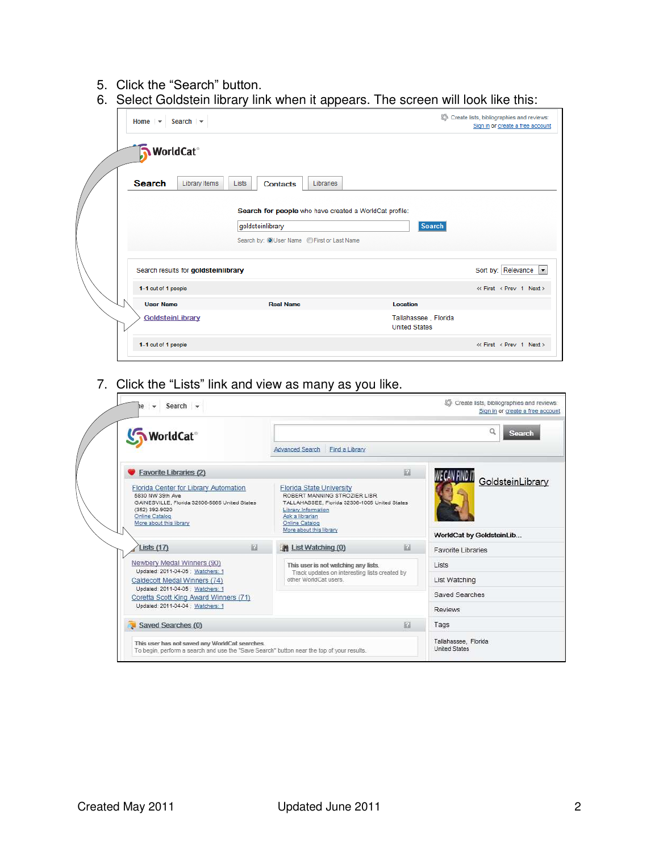## 5. Click the "Search" button.

6. Select Goldstein library link when it appears. The screen will look like this:

| Search $\sim$<br>Home $\sim$        |                                                                            | . .<br>Create lists, bibliographies and reviews: |                         |  |
|-------------------------------------|----------------------------------------------------------------------------|--------------------------------------------------|-------------------------|--|
| WorldCat <sup>®</sup>               |                                                                            |                                                  |                         |  |
| <b>Search</b><br>Library Items      | <b>Lists</b><br>Libraries<br><b>Contacts</b>                               |                                                  |                         |  |
|                                     | Search for people who have created a WorldCat profile:<br>goldsteinlibrary | <b>Search</b>                                    |                         |  |
|                                     | Search by: OUser Name  CFirst or Last Name                                 |                                                  |                         |  |
| Search results for goldsteinlibrary |                                                                            |                                                  | Sort by: Relevance  -   |  |
| 1-1 out of 1 people                 |                                                                            |                                                  | « First < Prev 1 Next > |  |
| <b>User Name</b>                    | <b>Real Name</b>                                                           | <b>Location</b>                                  |                         |  |
| GoldsteinLibrary                    |                                                                            | Tallahassee, Florida<br><b>United States</b>     |                         |  |
| 1-1 out of 1 people                 |                                                                            |                                                  | « First < Prev 1 Next > |  |

7. Click the "Lists" link and view as many as you like.

| Search $\sim$<br>$\rightarrow$<br>۱e<br>WorldCat <sup>®</sup>                                                                                                                 |   | Create lists, bibliographies and reviews:<br>Sign in or create a free account<br>a<br>Search<br><b>Advanced Search</b><br>Find a Library                                                                       |                                              |  |
|-------------------------------------------------------------------------------------------------------------------------------------------------------------------------------|---|----------------------------------------------------------------------------------------------------------------------------------------------------------------------------------------------------------------|----------------------------------------------|--|
|                                                                                                                                                                               |   |                                                                                                                                                                                                                |                                              |  |
| Florida Center for Library Automation<br>5830 NW 39th Ave<br>GAINESVILLE, Florida 32606-5865 United States<br>(352) 392-9020<br>Online Catalog<br>More about this library     |   | <b>Florida State University</b><br>ROBERT MANNING STROZIER LIBR<br>TALLAHASSEE, Florida 32306-1005 United States<br>Library Information<br>Ask a librarian<br><b>Online Catalog</b><br>More about this library | GoldsteinLibrary<br>WorldCat by GoldsteinLib |  |
| Lists $(17)$                                                                                                                                                                  | 四 | B<br>A List Watching (0)                                                                                                                                                                                       | Favorite Libraries                           |  |
| Newbery Medal Winners (90)<br>Updated: 2011-04-05 ; Watchers: 1<br>Caldecott Medal Winners (74)<br>Updated: 2011-04-05 ; Watchers: 1<br>Coretta Scott King Award Winners (71) |   | This user is not watching any lists.<br>Track updates on interesting lists created by<br>other WorldCat users.                                                                                                 | Lists                                        |  |
|                                                                                                                                                                               |   |                                                                                                                                                                                                                | List Watching                                |  |
|                                                                                                                                                                               |   |                                                                                                                                                                                                                | Saved Searches                               |  |
| Updated: 2011-04-04 ; Watchers: 1                                                                                                                                             |   |                                                                                                                                                                                                                | <b>Reviews</b>                               |  |
| Saved Searches (0)                                                                                                                                                            |   | 図                                                                                                                                                                                                              | Tags                                         |  |
| This user has not saved any WorldCat searches.<br>To begin, perform a search and use the "Save Search" button near the top of your results.                                   |   | Tallahassee, Florida<br>United States                                                                                                                                                                          |                                              |  |